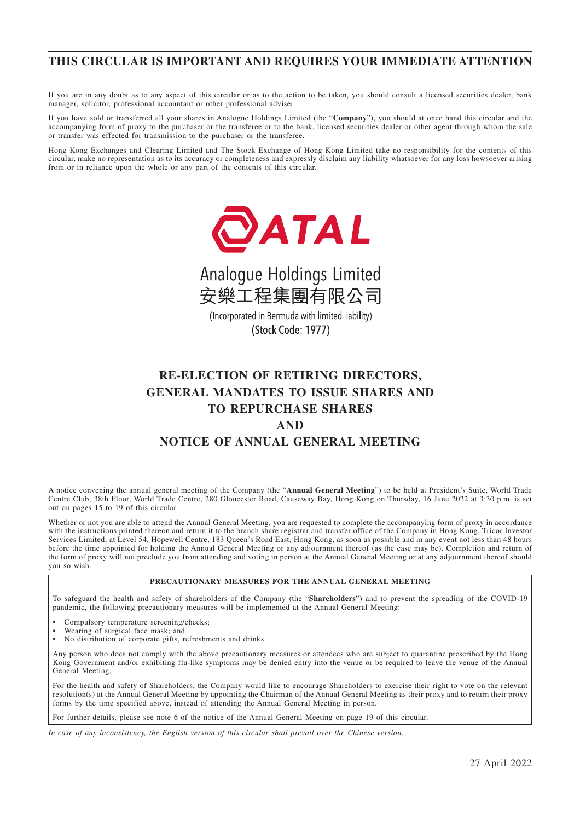### **THIS CIRCULAR IS IMPORTANT AND REQUIRES YOUR IMMEDIATE ATTENTION**

If you are in any doubt as to any aspect of this circular or as to the action to be taken, you should consult a licensed securities dealer, bank manager, solicitor, professional accountant or other professional adviser.

If you have sold or transferred all your shares in Analogue Holdings Limited (the "**Company**"), you should at once hand this circular and the accompanying form of proxy to the purchaser or the transferee or to the bank, licensed securities dealer or other agent through whom the sale or transfer was effected for transmission to the purchaser or the transferee.

Hong Kong Exchanges and Clearing Limited and The Stock Exchange of Hong Kong Limited take no responsibility for the contents of this circular, make no representation as to its accuracy or completeness and expressly disclaim any liability whatsoever for any loss howsoever arising from or in reliance upon the whole or any part of the contents of this circular.





(Incorporated in Bermuda with limited liability) (Stock Code: 1977)

# **RE-ELECTION OF RETIRING DIRECTORS, GENERAL MANDATES TO ISSUE SHARES AND TO REPURCHASE SHARES AND NOTICE OF ANNUAL GENERAL MEETING**

A notice convening the annual general meeting of the Company (the "**Annual General Meeting**") to be held at President's Suite, World Trade Centre Club, 38th Floor, World Trade Centre, 280 Gloucester Road, Causeway Bay, Hong Kong on Thursday, 16 June 2022 at 3:30 p.m. is set out on pages 15 to 19 of this circular.

Whether or not you are able to attend the Annual General Meeting, you are requested to complete the accompanying form of proxy in accordance with the instructions printed thereon and return it to the branch share registrar and transfer office of the Company in Hong Kong, Tricor Investor Services Limited, at Level 54, Hopewell Centre, 183 Queen's Road East, Hong Kong, as soon as possible and in any event not less than 48 hours before the time appointed for holding the Annual General Meeting or any adjournment thereof (as the case may be). Completion and return of the form of proxy will not preclude you from attending and voting in person at the Annual General Meeting or at any adjournment thereof should you so wish.

#### **PRECAUTIONARY MEASURES FOR THE ANNUAL GENERAL MEETING**

To safeguard the health and safety of shareholders of the Company (the "**Shareholders**") and to prevent the spreading of the COVID-19 pandemic, the following precautionary measures will be implemented at the Annual General Meeting:

- Compulsory temperature screening/checks;
- Wearing of surgical face mask; and
- No distribution of corporate gifts, refreshments and drinks.

Any person who does not comply with the above precautionary measures or attendees who are subject to quarantine prescribed by the Hong Kong Government and/or exhibiting flu-like symptoms may be denied entry into the venue or be required to leave the venue of the Annual General Meeting.

For the health and safety of Shareholders, the Company would like to encourage Shareholders to exercise their right to vote on the relevant resolution(s) at the Annual General Meeting by appointing the Chairman of the Annual General Meeting as their proxy and to return their proxy forms by the time specified above, instead of attending the Annual General Meeting in person.

For further details, please see note 6 of the notice of the Annual General Meeting on page 19 of this circular.

*In case of any inconsistency, the English version of this circular shall prevail over the Chinese version.*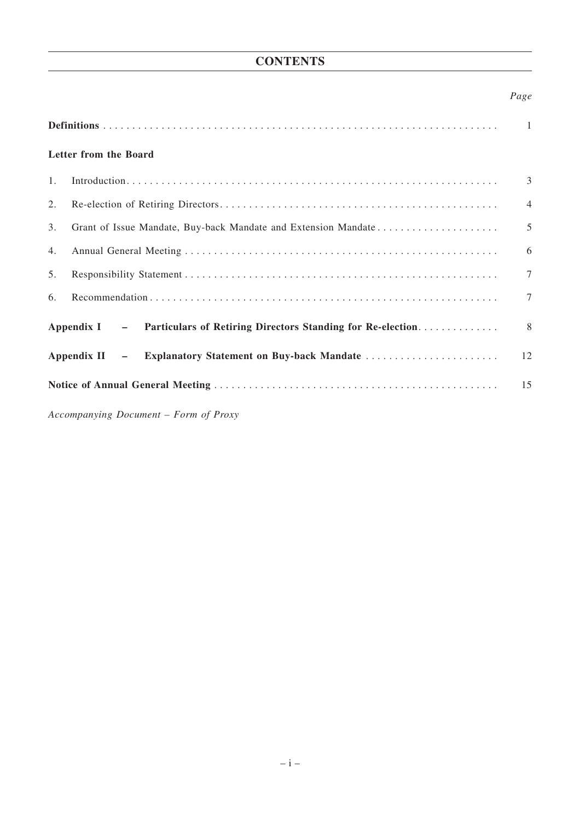# **CONTENTS**

### *Page*

|                | Letter from the Board                                                   |                |
|----------------|-------------------------------------------------------------------------|----------------|
| $\mathbf{1}$ . |                                                                         | 3              |
| 2.             |                                                                         | $\overline{4}$ |
| 3.             | Grant of Issue Mandate, Buy-back Mandate and Extension Mandate          | 5              |
| 4.             |                                                                         | 6              |
| 5.             |                                                                         | $\overline{7}$ |
| 6.             |                                                                         | $\overline{7}$ |
|                | Appendix I - Particulars of Retiring Directors Standing for Re-election | 8              |
|                | Appendix II - Explanatory Statement on Buy-back Mandate                 | 12             |
|                |                                                                         | 15             |
|                | Accompanying Document - Form of Proxy                                   |                |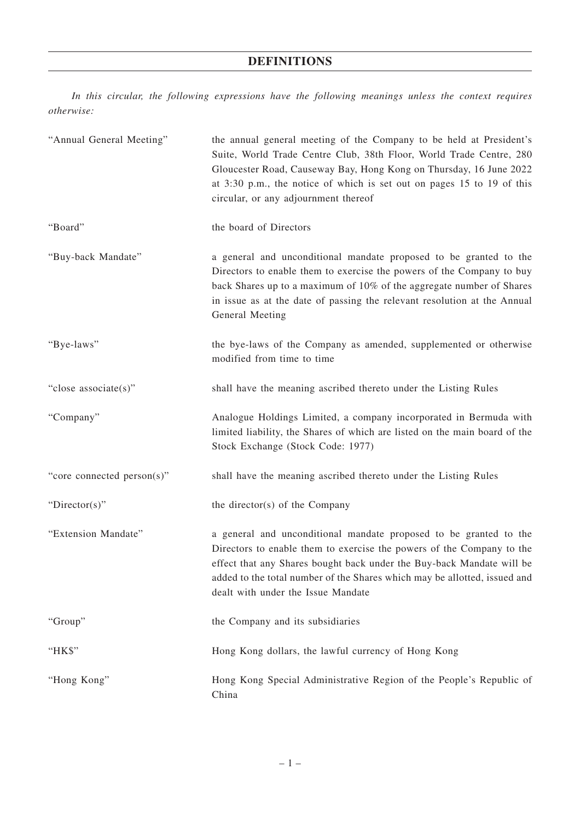## **DEFINITIONS**

*In this circular, the following expressions have the following meanings unless the context requires otherwise:*

| "Annual General Meeting"   | the annual general meeting of the Company to be held at President's<br>Suite, World Trade Centre Club, 38th Floor, World Trade Centre, 280<br>Gloucester Road, Causeway Bay, Hong Kong on Thursday, 16 June 2022<br>at 3:30 p.m., the notice of which is set out on pages 15 to 19 of this<br>circular, or any adjournment thereof     |
|----------------------------|----------------------------------------------------------------------------------------------------------------------------------------------------------------------------------------------------------------------------------------------------------------------------------------------------------------------------------------|
| "Board"                    | the board of Directors                                                                                                                                                                                                                                                                                                                 |
| "Buy-back Mandate"         | a general and unconditional mandate proposed to be granted to the<br>Directors to enable them to exercise the powers of the Company to buy<br>back Shares up to a maximum of 10% of the aggregate number of Shares<br>in issue as at the date of passing the relevant resolution at the Annual<br>General Meeting                      |
| "Bye-laws"                 | the bye-laws of the Company as amended, supplemented or otherwise<br>modified from time to time                                                                                                                                                                                                                                        |
| "close associate(s)"       | shall have the meaning ascribed thereto under the Listing Rules                                                                                                                                                                                                                                                                        |
| "Company"                  | Analogue Holdings Limited, a company incorporated in Bermuda with<br>limited liability, the Shares of which are listed on the main board of the<br>Stock Exchange (Stock Code: 1977)                                                                                                                                                   |
| "core connected person(s)" | shall have the meaning ascribed thereto under the Listing Rules                                                                                                                                                                                                                                                                        |
| " $Directory$ "            | the director(s) of the Company                                                                                                                                                                                                                                                                                                         |
| "Extension Mandate"        | a general and unconditional mandate proposed to be granted to the<br>Directors to enable them to exercise the powers of the Company to the<br>effect that any Shares bought back under the Buy-back Mandate will be<br>added to the total number of the Shares which may be allotted, issued and<br>dealt with under the Issue Mandate |
| "Group"                    | the Company and its subsidiaries                                                                                                                                                                                                                                                                                                       |
| "HK\$"                     | Hong Kong dollars, the lawful currency of Hong Kong                                                                                                                                                                                                                                                                                    |
| "Hong Kong"                | Hong Kong Special Administrative Region of the People's Republic of<br>China                                                                                                                                                                                                                                                           |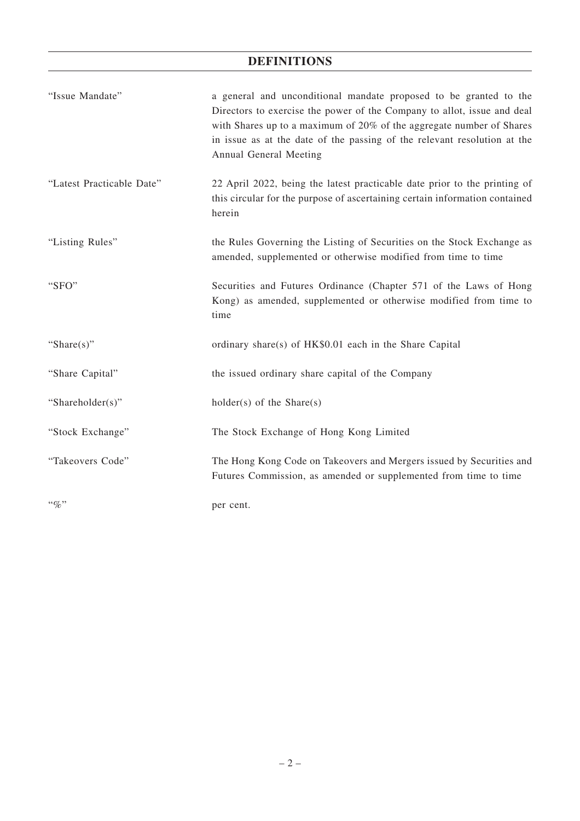## **DEFINITIONS**

| "Issue Mandate"           | a general and unconditional mandate proposed to be granted to the<br>Directors to exercise the power of the Company to allot, issue and deal<br>with Shares up to a maximum of 20% of the aggregate number of Shares<br>in issue as at the date of the passing of the relevant resolution at the<br>Annual General Meeting |
|---------------------------|----------------------------------------------------------------------------------------------------------------------------------------------------------------------------------------------------------------------------------------------------------------------------------------------------------------------------|
| "Latest Practicable Date" | 22 April 2022, being the latest practicable date prior to the printing of<br>this circular for the purpose of ascertaining certain information contained<br>herein                                                                                                                                                         |
| "Listing Rules"           | the Rules Governing the Listing of Securities on the Stock Exchange as<br>amended, supplemented or otherwise modified from time to time                                                                                                                                                                                    |
| "SFO"                     | Securities and Futures Ordinance (Chapter 571 of the Laws of Hong<br>Kong) as amended, supplemented or otherwise modified from time to<br>time                                                                                                                                                                             |
| "Share $(s)$ "            | ordinary share(s) of HK\$0.01 each in the Share Capital                                                                                                                                                                                                                                                                    |
| "Share Capital"           | the issued ordinary share capital of the Company                                                                                                                                                                                                                                                                           |
| "Shareholder(s)"          | $holder(s)$ of the Share(s)                                                                                                                                                                                                                                                                                                |
| "Stock Exchange"          | The Stock Exchange of Hong Kong Limited                                                                                                                                                                                                                                                                                    |
| "Takeovers Code"          | The Hong Kong Code on Takeovers and Mergers issued by Securities and<br>Futures Commission, as amended or supplemented from time to time                                                                                                                                                                                   |
| $``\%"$                   | per cent.                                                                                                                                                                                                                                                                                                                  |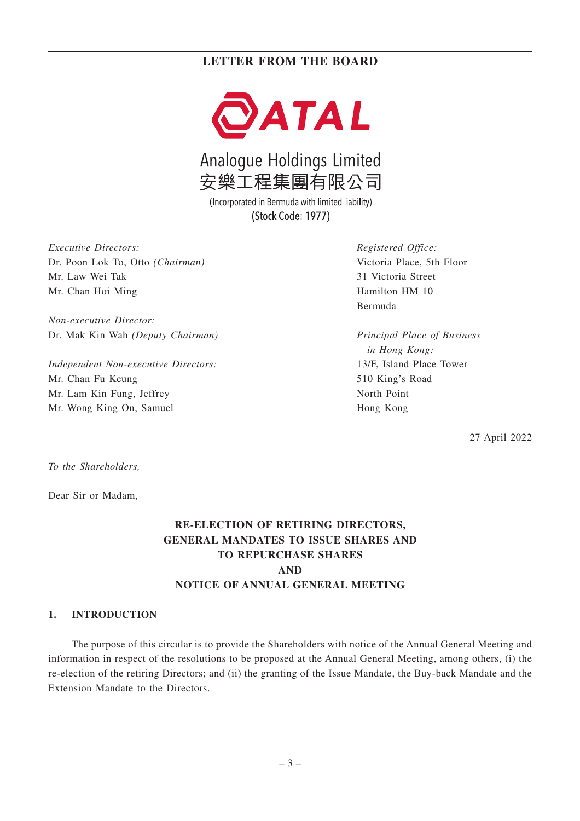

Analogue Holdings Limited 安樂工程集團有限公司

(Incorporated in Bermuda with limited liability) (Stock Code: 1977)

*Executive Directors:* Dr. Poon Lok To, Otto *(Chairman)* Mr. Law Wei Tak Mr. Chan Hoi Ming

*Non-executive Director:* Dr. Mak Kin Wah *(Deputy Chairman)*

*Independent Non-executive Directors:* Mr. Chan Fu Keung Mr. Lam Kin Fung, Jeffrey Mr. Wong King On, Samuel

*Registered Office:* Victoria Place, 5th Floor 31 Victoria Street Hamilton HM 10 Bermuda

*Principal Place of Business in Hong Kong:* 13/F, Island Place Tower 510 King's Road North Point Hong Kong

27 April 2022

*To the Shareholders,*

Dear Sir or Madam,

## **RE-ELECTION OF RETIRING DIRECTORS, GENERAL MANDATES TO ISSUE SHARES AND TO REPURCHASE SHARES AND NOTICE OF ANNUAL GENERAL MEETING**

#### **1. INTRODUCTION**

The purpose of this circular is to provide the Shareholders with notice of the Annual General Meeting and information in respect of the resolutions to be proposed at the Annual General Meeting, among others, (i) the re-election of the retiring Directors; and (ii) the granting of the Issue Mandate, the Buy-back Mandate and the Extension Mandate to the Directors.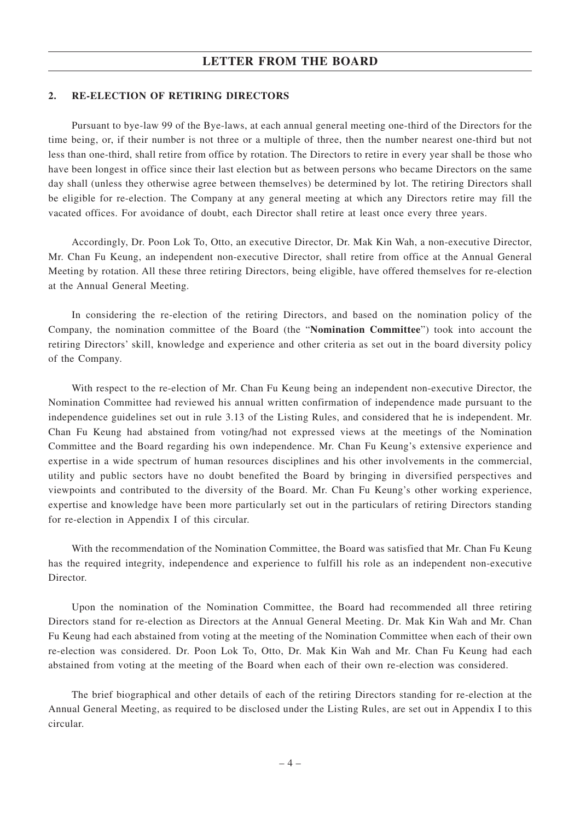#### **2. RE-ELECTION OF RETIRING DIRECTORS**

Pursuant to bye-law 99 of the Bye-laws, at each annual general meeting one-third of the Directors for the time being, or, if their number is not three or a multiple of three, then the number nearest one-third but not less than one-third, shall retire from office by rotation. The Directors to retire in every year shall be those who have been longest in office since their last election but as between persons who became Directors on the same day shall (unless they otherwise agree between themselves) be determined by lot. The retiring Directors shall be eligible for re-election. The Company at any general meeting at which any Directors retire may fill the vacated offices. For avoidance of doubt, each Director shall retire at least once every three years.

Accordingly, Dr. Poon Lok To, Otto, an executive Director, Dr. Mak Kin Wah, a non-executive Director, Mr. Chan Fu Keung, an independent non-executive Director, shall retire from office at the Annual General Meeting by rotation. All these three retiring Directors, being eligible, have offered themselves for re-election at the Annual General Meeting.

In considering the re-election of the retiring Directors, and based on the nomination policy of the Company, the nomination committee of the Board (the "**Nomination Committee**") took into account the retiring Directors' skill, knowledge and experience and other criteria as set out in the board diversity policy of the Company.

With respect to the re-election of Mr. Chan Fu Keung being an independent non-executive Director, the Nomination Committee had reviewed his annual written confirmation of independence made pursuant to the independence guidelines set out in rule 3.13 of the Listing Rules, and considered that he is independent. Mr. Chan Fu Keung had abstained from voting/had not expressed views at the meetings of the Nomination Committee and the Board regarding his own independence. Mr. Chan Fu Keung's extensive experience and expertise in a wide spectrum of human resources disciplines and his other involvements in the commercial, utility and public sectors have no doubt benefited the Board by bringing in diversified perspectives and viewpoints and contributed to the diversity of the Board. Mr. Chan Fu Keung's other working experience, expertise and knowledge have been more particularly set out in the particulars of retiring Directors standing for re-election in Appendix I of this circular.

With the recommendation of the Nomination Committee, the Board was satisfied that Mr. Chan Fu Keung has the required integrity, independence and experience to fulfill his role as an independent non-executive Director.

Upon the nomination of the Nomination Committee, the Board had recommended all three retiring Directors stand for re-election as Directors at the Annual General Meeting. Dr. Mak Kin Wah and Mr. Chan Fu Keung had each abstained from voting at the meeting of the Nomination Committee when each of their own re-election was considered. Dr. Poon Lok To, Otto, Dr. Mak Kin Wah and Mr. Chan Fu Keung had each abstained from voting at the meeting of the Board when each of their own re-election was considered.

The brief biographical and other details of each of the retiring Directors standing for re-election at the Annual General Meeting, as required to be disclosed under the Listing Rules, are set out in Appendix I to this circular.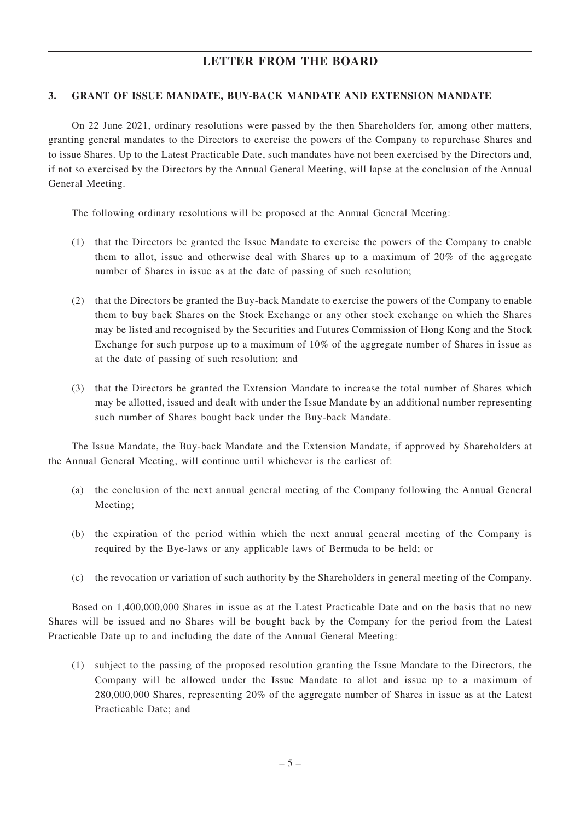### **3. GRANT OF ISSUE MANDATE, BUY-BACK MANDATE AND EXTENSION MANDATE**

On 22 June 2021, ordinary resolutions were passed by the then Shareholders for, among other matters, granting general mandates to the Directors to exercise the powers of the Company to repurchase Shares and to issue Shares. Up to the Latest Practicable Date, such mandates have not been exercised by the Directors and, if not so exercised by the Directors by the Annual General Meeting, will lapse at the conclusion of the Annual General Meeting.

The following ordinary resolutions will be proposed at the Annual General Meeting:

- (1) that the Directors be granted the Issue Mandate to exercise the powers of the Company to enable them to allot, issue and otherwise deal with Shares up to a maximum of 20% of the aggregate number of Shares in issue as at the date of passing of such resolution;
- (2) that the Directors be granted the Buy-back Mandate to exercise the powers of the Company to enable them to buy back Shares on the Stock Exchange or any other stock exchange on which the Shares may be listed and recognised by the Securities and Futures Commission of Hong Kong and the Stock Exchange for such purpose up to a maximum of 10% of the aggregate number of Shares in issue as at the date of passing of such resolution; and
- (3) that the Directors be granted the Extension Mandate to increase the total number of Shares which may be allotted, issued and dealt with under the Issue Mandate by an additional number representing such number of Shares bought back under the Buy-back Mandate.

The Issue Mandate, the Buy-back Mandate and the Extension Mandate, if approved by Shareholders at the Annual General Meeting, will continue until whichever is the earliest of:

- (a) the conclusion of the next annual general meeting of the Company following the Annual General Meeting;
- (b) the expiration of the period within which the next annual general meeting of the Company is required by the Bye-laws or any applicable laws of Bermuda to be held; or
- (c) the revocation or variation of such authority by the Shareholders in general meeting of the Company.

Based on 1,400,000,000 Shares in issue as at the Latest Practicable Date and on the basis that no new Shares will be issued and no Shares will be bought back by the Company for the period from the Latest Practicable Date up to and including the date of the Annual General Meeting:

(1) subject to the passing of the proposed resolution granting the Issue Mandate to the Directors, the Company will be allowed under the Issue Mandate to allot and issue up to a maximum of 280,000,000 Shares, representing 20% of the aggregate number of Shares in issue as at the Latest Practicable Date; and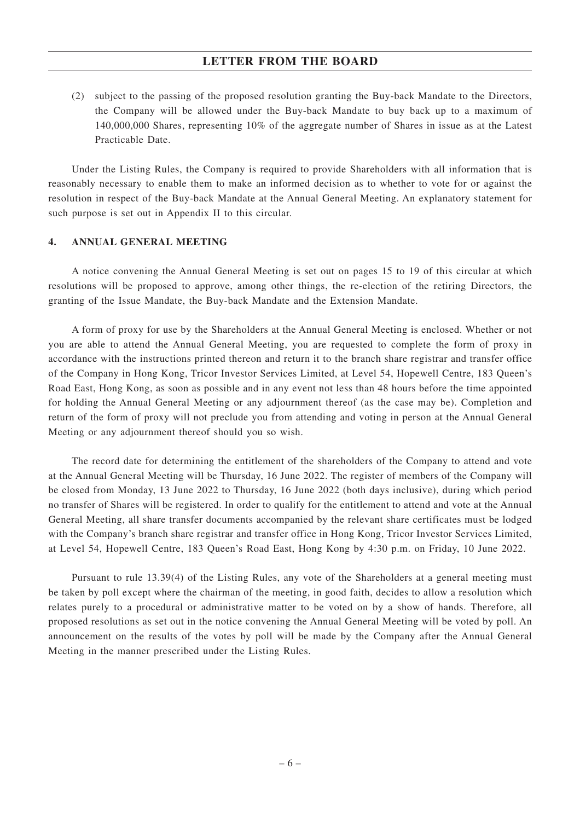(2) subject to the passing of the proposed resolution granting the Buy-back Mandate to the Directors, the Company will be allowed under the Buy-back Mandate to buy back up to a maximum of 140,000,000 Shares, representing 10% of the aggregate number of Shares in issue as at the Latest Practicable Date.

Under the Listing Rules, the Company is required to provide Shareholders with all information that is reasonably necessary to enable them to make an informed decision as to whether to vote for or against the resolution in respect of the Buy-back Mandate at the Annual General Meeting. An explanatory statement for such purpose is set out in Appendix II to this circular.

### **4. ANNUAL GENERAL MEETING**

A notice convening the Annual General Meeting is set out on pages 15 to 19 of this circular at which resolutions will be proposed to approve, among other things, the re-election of the retiring Directors, the granting of the Issue Mandate, the Buy-back Mandate and the Extension Mandate.

A form of proxy for use by the Shareholders at the Annual General Meeting is enclosed. Whether or not you are able to attend the Annual General Meeting, you are requested to complete the form of proxy in accordance with the instructions printed thereon and return it to the branch share registrar and transfer office of the Company in Hong Kong, Tricor Investor Services Limited, at Level 54, Hopewell Centre, 183 Queen's Road East, Hong Kong, as soon as possible and in any event not less than 48 hours before the time appointed for holding the Annual General Meeting or any adjournment thereof (as the case may be). Completion and return of the form of proxy will not preclude you from attending and voting in person at the Annual General Meeting or any adjournment thereof should you so wish.

The record date for determining the entitlement of the shareholders of the Company to attend and vote at the Annual General Meeting will be Thursday, 16 June 2022. The register of members of the Company will be closed from Monday, 13 June 2022 to Thursday, 16 June 2022 (both days inclusive), during which period no transfer of Shares will be registered. In order to qualify for the entitlement to attend and vote at the Annual General Meeting, all share transfer documents accompanied by the relevant share certificates must be lodged with the Company's branch share registrar and transfer office in Hong Kong, Tricor Investor Services Limited, at Level 54, Hopewell Centre, 183 Queen's Road East, Hong Kong by 4:30 p.m. on Friday, 10 June 2022.

Pursuant to rule 13.39(4) of the Listing Rules, any vote of the Shareholders at a general meeting must be taken by poll except where the chairman of the meeting, in good faith, decides to allow a resolution which relates purely to a procedural or administrative matter to be voted on by a show of hands. Therefore, all proposed resolutions as set out in the notice convening the Annual General Meeting will be voted by poll. An announcement on the results of the votes by poll will be made by the Company after the Annual General Meeting in the manner prescribed under the Listing Rules.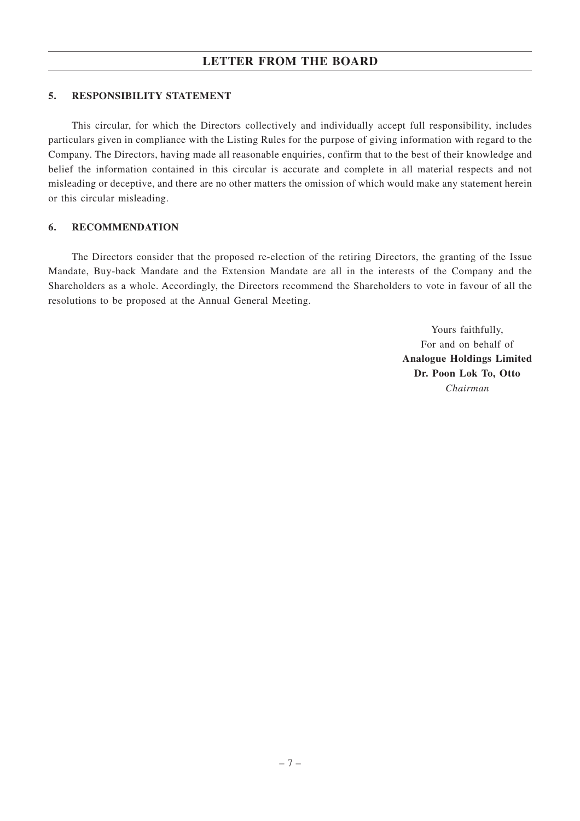#### **5. RESPONSIBILITY STATEMENT**

This circular, for which the Directors collectively and individually accept full responsibility, includes particulars given in compliance with the Listing Rules for the purpose of giving information with regard to the Company. The Directors, having made all reasonable enquiries, confirm that to the best of their knowledge and belief the information contained in this circular is accurate and complete in all material respects and not misleading or deceptive, and there are no other matters the omission of which would make any statement herein or this circular misleading.

#### **6. RECOMMENDATION**

The Directors consider that the proposed re-election of the retiring Directors, the granting of the Issue Mandate, Buy-back Mandate and the Extension Mandate are all in the interests of the Company and the Shareholders as a whole. Accordingly, the Directors recommend the Shareholders to vote in favour of all the resolutions to be proposed at the Annual General Meeting.

> Yours faithfully, For and on behalf of **Analogue Holdings Limited Dr. Poon Lok To, Otto** *Chairman*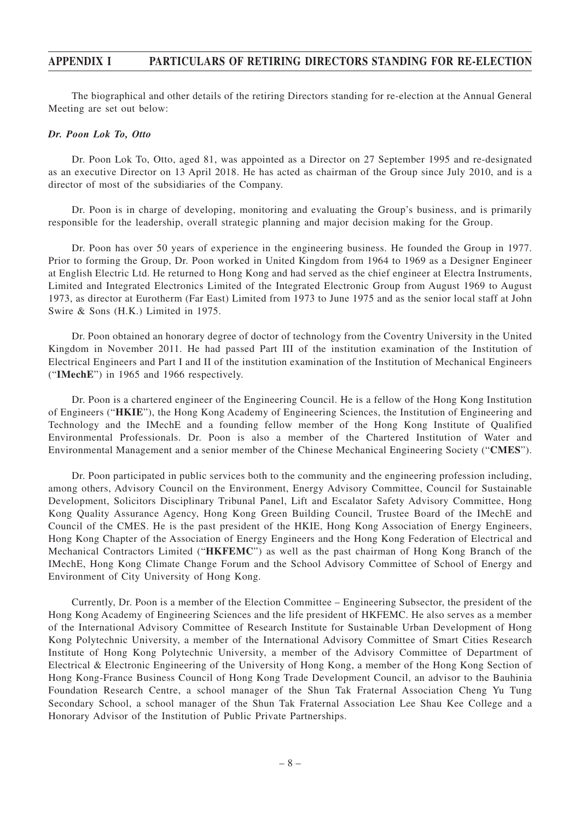The biographical and other details of the retiring Directors standing for re-election at the Annual General Meeting are set out below:

#### *Dr. Poon Lok To, Otto*

Dr. Poon Lok To, Otto, aged 81, was appointed as a Director on 27 September 1995 and re-designated as an executive Director on 13 April 2018. He has acted as chairman of the Group since July 2010, and is a director of most of the subsidiaries of the Company.

Dr. Poon is in charge of developing, monitoring and evaluating the Group's business, and is primarily responsible for the leadership, overall strategic planning and major decision making for the Group.

Dr. Poon has over 50 years of experience in the engineering business. He founded the Group in 1977. Prior to forming the Group, Dr. Poon worked in United Kingdom from 1964 to 1969 as a Designer Engineer at English Electric Ltd. He returned to Hong Kong and had served as the chief engineer at Electra Instruments, Limited and Integrated Electronics Limited of the Integrated Electronic Group from August 1969 to August 1973, as director at Eurotherm (Far East) Limited from 1973 to June 1975 and as the senior local staff at John Swire & Sons (H.K.) Limited in 1975.

Dr. Poon obtained an honorary degree of doctor of technology from the Coventry University in the United Kingdom in November 2011. He had passed Part III of the institution examination of the Institution of Electrical Engineers and Part I and II of the institution examination of the Institution of Mechanical Engineers ("**IMechE**") in 1965 and 1966 respectively.

Dr. Poon is a chartered engineer of the Engineering Council. He is a fellow of the Hong Kong Institution of Engineers ("**HKIE**"), the Hong Kong Academy of Engineering Sciences, the Institution of Engineering and Technology and the IMechE and a founding fellow member of the Hong Kong Institute of Qualified Environmental Professionals. Dr. Poon is also a member of the Chartered Institution of Water and Environmental Management and a senior member of the Chinese Mechanical Engineering Society ("**CMES**").

Dr. Poon participated in public services both to the community and the engineering profession including, among others, Advisory Council on the Environment, Energy Advisory Committee, Council for Sustainable Development, Solicitors Disciplinary Tribunal Panel, Lift and Escalator Safety Advisory Committee, Hong Kong Quality Assurance Agency, Hong Kong Green Building Council, Trustee Board of the IMechE and Council of the CMES. He is the past president of the HKIE, Hong Kong Association of Energy Engineers, Hong Kong Chapter of the Association of Energy Engineers and the Hong Kong Federation of Electrical and Mechanical Contractors Limited ("**HKFEMC**") as well as the past chairman of Hong Kong Branch of the IMechE, Hong Kong Climate Change Forum and the School Advisory Committee of School of Energy and Environment of City University of Hong Kong.

Currently, Dr. Poon is a member of the Election Committee – Engineering Subsector, the president of the Hong Kong Academy of Engineering Sciences and the life president of HKFEMC. He also serves as a member of the International Advisory Committee of Research Institute for Sustainable Urban Development of Hong Kong Polytechnic University, a member of the International Advisory Committee of Smart Cities Research Institute of Hong Kong Polytechnic University, a member of the Advisory Committee of Department of Electrical & Electronic Engineering of the University of Hong Kong, a member of the Hong Kong Section of Hong Kong-France Business Council of Hong Kong Trade Development Council, an advisor to the Bauhinia Foundation Research Centre, a school manager of the Shun Tak Fraternal Association Cheng Yu Tung Secondary School, a school manager of the Shun Tak Fraternal Association Lee Shau Kee College and a Honorary Advisor of the Institution of Public Private Partnerships.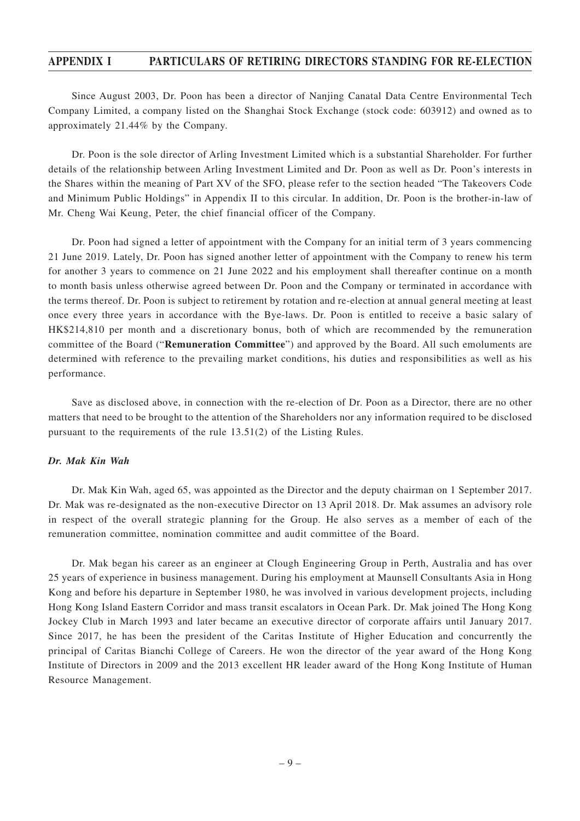Since August 2003, Dr. Poon has been a director of Nanjing Canatal Data Centre Environmental Tech Company Limited, a company listed on the Shanghai Stock Exchange (stock code: 603912) and owned as to approximately 21.44% by the Company.

Dr. Poon is the sole director of Arling Investment Limited which is a substantial Shareholder. For further details of the relationship between Arling Investment Limited and Dr. Poon as well as Dr. Poon's interests in the Shares within the meaning of Part XV of the SFO, please refer to the section headed "The Takeovers Code and Minimum Public Holdings" in Appendix II to this circular. In addition, Dr. Poon is the brother-in-law of Mr. Cheng Wai Keung, Peter, the chief financial officer of the Company.

Dr. Poon had signed a letter of appointment with the Company for an initial term of 3 years commencing 21 June 2019. Lately, Dr. Poon has signed another letter of appointment with the Company to renew his term for another 3 years to commence on 21 June 2022 and his employment shall thereafter continue on a month to month basis unless otherwise agreed between Dr. Poon and the Company or terminated in accordance with the terms thereof. Dr. Poon is subject to retirement by rotation and re-election at annual general meeting at least once every three years in accordance with the Bye-laws. Dr. Poon is entitled to receive a basic salary of HK\$214,810 per month and a discretionary bonus, both of which are recommended by the remuneration committee of the Board ("**Remuneration Committee**") and approved by the Board. All such emoluments are determined with reference to the prevailing market conditions, his duties and responsibilities as well as his performance.

Save as disclosed above, in connection with the re-election of Dr. Poon as a Director, there are no other matters that need to be brought to the attention of the Shareholders nor any information required to be disclosed pursuant to the requirements of the rule 13.51(2) of the Listing Rules.

#### *Dr. Mak Kin Wah*

Dr. Mak Kin Wah, aged 65, was appointed as the Director and the deputy chairman on 1 September 2017. Dr. Mak was re-designated as the non-executive Director on 13 April 2018. Dr. Mak assumes an advisory role in respect of the overall strategic planning for the Group. He also serves as a member of each of the remuneration committee, nomination committee and audit committee of the Board.

Dr. Mak began his career as an engineer at Clough Engineering Group in Perth, Australia and has over 25 years of experience in business management. During his employment at Maunsell Consultants Asia in Hong Kong and before his departure in September 1980, he was involved in various development projects, including Hong Kong Island Eastern Corridor and mass transit escalators in Ocean Park. Dr. Mak joined The Hong Kong Jockey Club in March 1993 and later became an executive director of corporate affairs until January 2017. Since 2017, he has been the president of the Caritas Institute of Higher Education and concurrently the principal of Caritas Bianchi College of Careers. He won the director of the year award of the Hong Kong Institute of Directors in 2009 and the 2013 excellent HR leader award of the Hong Kong Institute of Human Resource Management.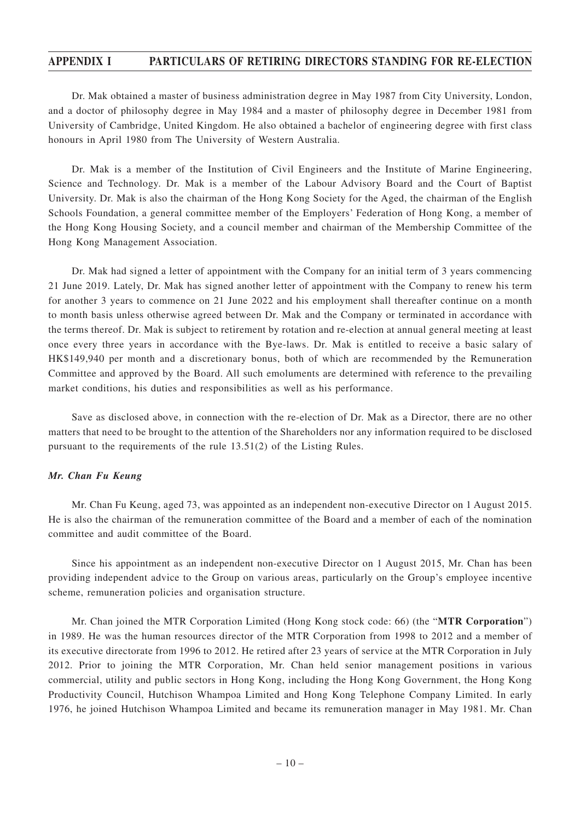Dr. Mak obtained a master of business administration degree in May 1987 from City University, London, and a doctor of philosophy degree in May 1984 and a master of philosophy degree in December 1981 from University of Cambridge, United Kingdom. He also obtained a bachelor of engineering degree with first class honours in April 1980 from The University of Western Australia.

Dr. Mak is a member of the Institution of Civil Engineers and the Institute of Marine Engineering, Science and Technology. Dr. Mak is a member of the Labour Advisory Board and the Court of Baptist University. Dr. Mak is also the chairman of the Hong Kong Society for the Aged, the chairman of the English Schools Foundation, a general committee member of the Employers' Federation of Hong Kong, a member of the Hong Kong Housing Society, and a council member and chairman of the Membership Committee of the Hong Kong Management Association.

Dr. Mak had signed a letter of appointment with the Company for an initial term of 3 years commencing 21 June 2019. Lately, Dr. Mak has signed another letter of appointment with the Company to renew his term for another 3 years to commence on 21 June 2022 and his employment shall thereafter continue on a month to month basis unless otherwise agreed between Dr. Mak and the Company or terminated in accordance with the terms thereof. Dr. Mak is subject to retirement by rotation and re-election at annual general meeting at least once every three years in accordance with the Bye-laws. Dr. Mak is entitled to receive a basic salary of HK\$149,940 per month and a discretionary bonus, both of which are recommended by the Remuneration Committee and approved by the Board. All such emoluments are determined with reference to the prevailing market conditions, his duties and responsibilities as well as his performance.

Save as disclosed above, in connection with the re-election of Dr. Mak as a Director, there are no other matters that need to be brought to the attention of the Shareholders nor any information required to be disclosed pursuant to the requirements of the rule 13.51(2) of the Listing Rules.

#### *Mr. Chan Fu Keung*

Mr. Chan Fu Keung, aged 73, was appointed as an independent non-executive Director on 1 August 2015. He is also the chairman of the remuneration committee of the Board and a member of each of the nomination committee and audit committee of the Board.

Since his appointment as an independent non-executive Director on 1 August 2015, Mr. Chan has been providing independent advice to the Group on various areas, particularly on the Group's employee incentive scheme, remuneration policies and organisation structure.

Mr. Chan joined the MTR Corporation Limited (Hong Kong stock code: 66) (the "**MTR Corporation**") in 1989. He was the human resources director of the MTR Corporation from 1998 to 2012 and a member of its executive directorate from 1996 to 2012. He retired after 23 years of service at the MTR Corporation in July 2012. Prior to joining the MTR Corporation, Mr. Chan held senior management positions in various commercial, utility and public sectors in Hong Kong, including the Hong Kong Government, the Hong Kong Productivity Council, Hutchison Whampoa Limited and Hong Kong Telephone Company Limited. In early 1976, he joined Hutchison Whampoa Limited and became its remuneration manager in May 1981. Mr. Chan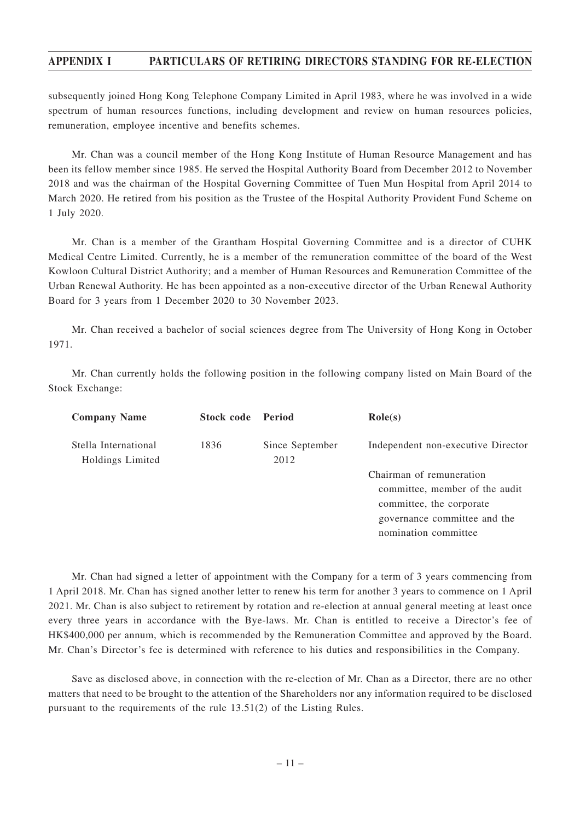subsequently joined Hong Kong Telephone Company Limited in April 1983, where he was involved in a wide spectrum of human resources functions, including development and review on human resources policies, remuneration, employee incentive and benefits schemes.

Mr. Chan was a council member of the Hong Kong Institute of Human Resource Management and has been its fellow member since 1985. He served the Hospital Authority Board from December 2012 to November 2018 and was the chairman of the Hospital Governing Committee of Tuen Mun Hospital from April 2014 to March 2020. He retired from his position as the Trustee of the Hospital Authority Provident Fund Scheme on 1 July 2020.

Mr. Chan is a member of the Grantham Hospital Governing Committee and is a director of CUHK Medical Centre Limited. Currently, he is a member of the remuneration committee of the board of the West Kowloon Cultural District Authority; and a member of Human Resources and Remuneration Committee of the Urban Renewal Authority. He has been appointed as a non-executive director of the Urban Renewal Authority Board for 3 years from 1 December 2020 to 30 November 2023.

Mr. Chan received a bachelor of social sciences degree from The University of Hong Kong in October 1971.

Mr. Chan currently holds the following position in the following company listed on Main Board of the Stock Exchange:

| <b>Company Name</b>                      | <b>Stock code</b> Period |                         | $\text{Role}(s)$                                                                                                                               |
|------------------------------------------|--------------------------|-------------------------|------------------------------------------------------------------------------------------------------------------------------------------------|
| Stella International<br>Holdings Limited | 1836                     | Since September<br>2012 | Independent non-executive Director                                                                                                             |
|                                          |                          |                         | Chairman of remuneration<br>committee, member of the audit<br>committee, the corporate<br>governance committee and the<br>nomination committee |

Mr. Chan had signed a letter of appointment with the Company for a term of 3 years commencing from 1 April 2018. Mr. Chan has signed another letter to renew his term for another 3 years to commence on 1 April 2021. Mr. Chan is also subject to retirement by rotation and re-election at annual general meeting at least once every three years in accordance with the Bye-laws. Mr. Chan is entitled to receive a Director's fee of HK\$400,000 per annum, which is recommended by the Remuneration Committee and approved by the Board. Mr. Chan's Director's fee is determined with reference to his duties and responsibilities in the Company.

Save as disclosed above, in connection with the re-election of Mr. Chan as a Director, there are no other matters that need to be brought to the attention of the Shareholders nor any information required to be disclosed pursuant to the requirements of the rule 13.51(2) of the Listing Rules.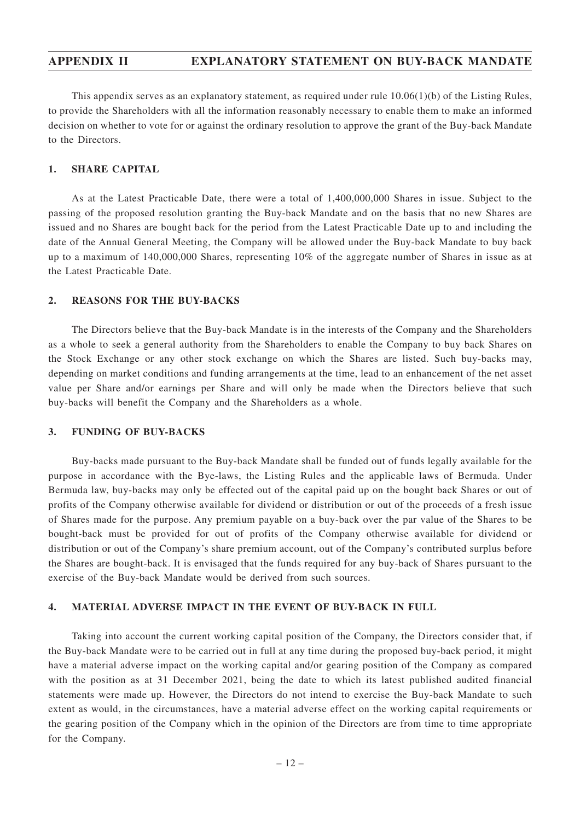## **APPENDIX II EXPLANATORY STATEMENT ON BUY-BACK MANDATE**

This appendix serves as an explanatory statement, as required under rule 10.06(1)(b) of the Listing Rules, to provide the Shareholders with all the information reasonably necessary to enable them to make an informed decision on whether to vote for or against the ordinary resolution to approve the grant of the Buy-back Mandate to the Directors.

### **1. SHARE CAPITAL**

As at the Latest Practicable Date, there were a total of 1,400,000,000 Shares in issue. Subject to the passing of the proposed resolution granting the Buy-back Mandate and on the basis that no new Shares are issued and no Shares are bought back for the period from the Latest Practicable Date up to and including the date of the Annual General Meeting, the Company will be allowed under the Buy-back Mandate to buy back up to a maximum of 140,000,000 Shares, representing 10% of the aggregate number of Shares in issue as at the Latest Practicable Date.

#### **2. REASONS FOR THE BUY-BACKS**

The Directors believe that the Buy-back Mandate is in the interests of the Company and the Shareholders as a whole to seek a general authority from the Shareholders to enable the Company to buy back Shares on the Stock Exchange or any other stock exchange on which the Shares are listed. Such buy-backs may, depending on market conditions and funding arrangements at the time, lead to an enhancement of the net asset value per Share and/or earnings per Share and will only be made when the Directors believe that such buy-backs will benefit the Company and the Shareholders as a whole.

#### **3. FUNDING OF BUY-BACKS**

Buy-backs made pursuant to the Buy-back Mandate shall be funded out of funds legally available for the purpose in accordance with the Bye-laws, the Listing Rules and the applicable laws of Bermuda. Under Bermuda law, buy-backs may only be effected out of the capital paid up on the bought back Shares or out of profits of the Company otherwise available for dividend or distribution or out of the proceeds of a fresh issue of Shares made for the purpose. Any premium payable on a buy-back over the par value of the Shares to be bought-back must be provided for out of profits of the Company otherwise available for dividend or distribution or out of the Company's share premium account, out of the Company's contributed surplus before the Shares are bought-back. It is envisaged that the funds required for any buy-back of Shares pursuant to the exercise of the Buy-back Mandate would be derived from such sources.

#### **4. MATERIAL ADVERSE IMPACT IN THE EVENT OF BUY-BACK IN FULL**

Taking into account the current working capital position of the Company, the Directors consider that, if the Buy-back Mandate were to be carried out in full at any time during the proposed buy-back period, it might have a material adverse impact on the working capital and/or gearing position of the Company as compared with the position as at 31 December 2021, being the date to which its latest published audited financial statements were made up. However, the Directors do not intend to exercise the Buy-back Mandate to such extent as would, in the circumstances, have a material adverse effect on the working capital requirements or the gearing position of the Company which in the opinion of the Directors are from time to time appropriate for the Company.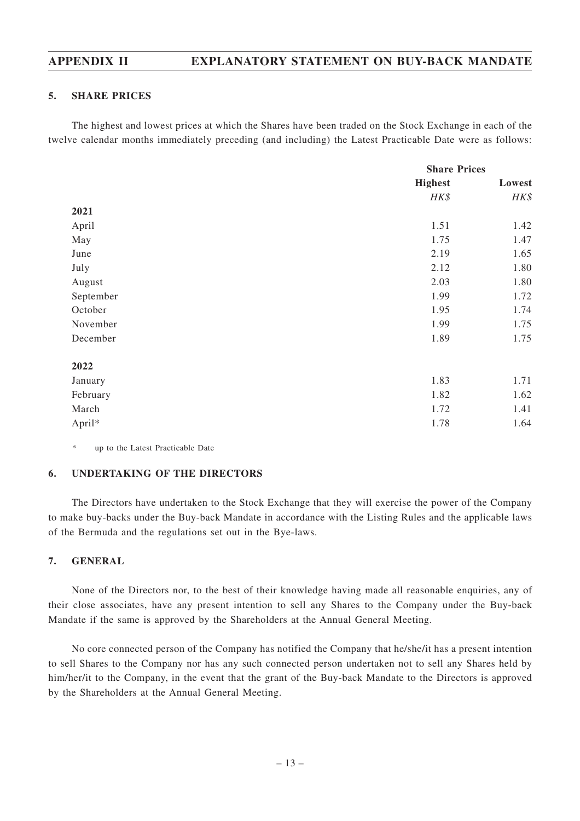## **APPENDIX II EXPLANATORY STATEMENT ON BUY-BACK MANDATE**

#### **5. SHARE PRICES**

The highest and lowest prices at which the Shares have been traded on the Stock Exchange in each of the twelve calendar months immediately preceding (and including) the Latest Practicable Date were as follows:

|           |                | <b>Share Prices</b> |  |
|-----------|----------------|---------------------|--|
|           | <b>Highest</b> | Lowest              |  |
|           | HK\$           | HK\$                |  |
| 2021      |                |                     |  |
| April     | 1.51           | 1.42                |  |
| May       | 1.75           | 1.47                |  |
| June      | 2.19           | 1.65                |  |
| July      | 2.12           | 1.80                |  |
| August    | 2.03           | 1.80                |  |
| September | 1.99           | 1.72                |  |
| October   | 1.95           | 1.74                |  |
| November  | 1.99           | 1.75                |  |
| December  | 1.89           | 1.75                |  |
| 2022      |                |                     |  |
| January   | 1.83           | 1.71                |  |
| February  | 1.82           | 1.62                |  |
| March     | 1.72           | 1.41                |  |
| April*    | 1.78           | 1.64                |  |

*\** up to the Latest Practicable Date

### **6. UNDERTAKING OF THE DIRECTORS**

The Directors have undertaken to the Stock Exchange that they will exercise the power of the Company to make buy-backs under the Buy-back Mandate in accordance with the Listing Rules and the applicable laws of the Bermuda and the regulations set out in the Bye-laws.

### **7. GENERAL**

None of the Directors nor, to the best of their knowledge having made all reasonable enquiries, any of their close associates, have any present intention to sell any Shares to the Company under the Buy-back Mandate if the same is approved by the Shareholders at the Annual General Meeting.

No core connected person of the Company has notified the Company that he/she/it has a present intention to sell Shares to the Company nor has any such connected person undertaken not to sell any Shares held by him/her/it to the Company, in the event that the grant of the Buy-back Mandate to the Directors is approved by the Shareholders at the Annual General Meeting.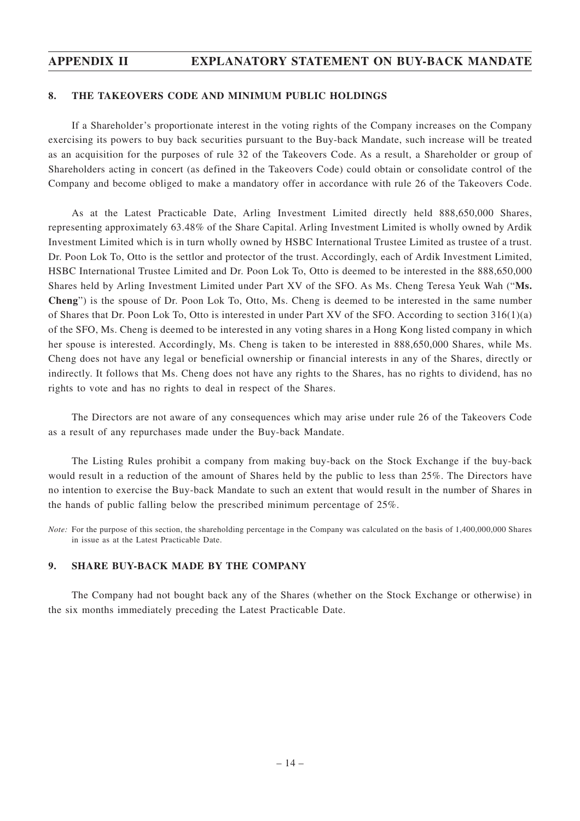## **APPENDIX II EXPLANATORY STATEMENT ON BUY-BACK MANDATE**

#### **8. THE TAKEOVERS CODE AND MINIMUM PUBLIC HOLDINGS**

If a Shareholder's proportionate interest in the voting rights of the Company increases on the Company exercising its powers to buy back securities pursuant to the Buy-back Mandate, such increase will be treated as an acquisition for the purposes of rule 32 of the Takeovers Code. As a result, a Shareholder or group of Shareholders acting in concert (as defined in the Takeovers Code) could obtain or consolidate control of the Company and become obliged to make a mandatory offer in accordance with rule 26 of the Takeovers Code.

As at the Latest Practicable Date, Arling Investment Limited directly held 888,650,000 Shares, representing approximately 63.48% of the Share Capital. Arling Investment Limited is wholly owned by Ardik Investment Limited which is in turn wholly owned by HSBC International Trustee Limited as trustee of a trust. Dr. Poon Lok To, Otto is the settlor and protector of the trust. Accordingly, each of Ardik Investment Limited, HSBC International Trustee Limited and Dr. Poon Lok To, Otto is deemed to be interested in the 888,650,000 Shares held by Arling Investment Limited under Part XV of the SFO. As Ms. Cheng Teresa Yeuk Wah ("**Ms. Cheng**") is the spouse of Dr. Poon Lok To, Otto, Ms. Cheng is deemed to be interested in the same number of Shares that Dr. Poon Lok To, Otto is interested in under Part XV of the SFO. According to section 316(1)(a) of the SFO, Ms. Cheng is deemed to be interested in any voting shares in a Hong Kong listed company in which her spouse is interested. Accordingly, Ms. Cheng is taken to be interested in 888,650,000 Shares, while Ms. Cheng does not have any legal or beneficial ownership or financial interests in any of the Shares, directly or indirectly. It follows that Ms. Cheng does not have any rights to the Shares, has no rights to dividend, has no rights to vote and has no rights to deal in respect of the Shares.

The Directors are not aware of any consequences which may arise under rule 26 of the Takeovers Code as a result of any repurchases made under the Buy-back Mandate.

The Listing Rules prohibit a company from making buy-back on the Stock Exchange if the buy-back would result in a reduction of the amount of Shares held by the public to less than 25%. The Directors have no intention to exercise the Buy-back Mandate to such an extent that would result in the number of Shares in the hands of public falling below the prescribed minimum percentage of 25%.

*Note:* For the purpose of this section, the shareholding percentage in the Company was calculated on the basis of 1,400,000,000 Shares in issue as at the Latest Practicable Date.

### **9. SHARE BUY-BACK MADE BY THE COMPANY**

The Company had not bought back any of the Shares (whether on the Stock Exchange or otherwise) in the six months immediately preceding the Latest Practicable Date.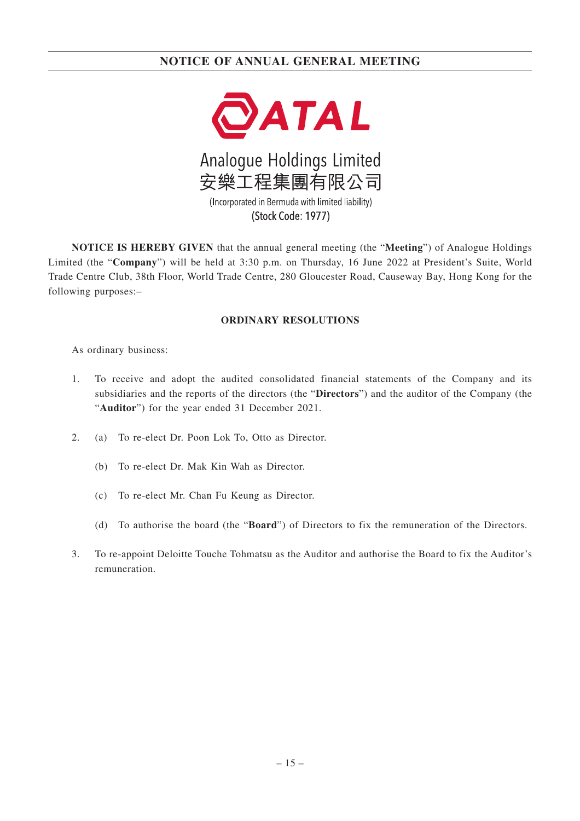

(Stock Code: 1977)

**NOTICE IS HEREBY GIVEN** that the annual general meeting (the "**Meeting**") of Analogue Holdings Limited (the "**Company**") will be held at 3:30 p.m. on Thursday, 16 June 2022 at President's Suite, World Trade Centre Club, 38th Floor, World Trade Centre, 280 Gloucester Road, Causeway Bay, Hong Kong for the following purposes:–

### **ORDINARY RESOLUTIONS**

As ordinary business:

- 1. To receive and adopt the audited consolidated financial statements of the Company and its subsidiaries and the reports of the directors (the "**Directors**") and the auditor of the Company (the "**Auditor**") for the year ended 31 December 2021.
- 2. (a) To re-elect Dr. Poon Lok To, Otto as Director.
	- (b) To re-elect Dr. Mak Kin Wah as Director.
	- (c) To re-elect Mr. Chan Fu Keung as Director.
	- (d) To authorise the board (the "**Board**") of Directors to fix the remuneration of the Directors.
- 3. To re-appoint Deloitte Touche Tohmatsu as the Auditor and authorise the Board to fix the Auditor's remuneration.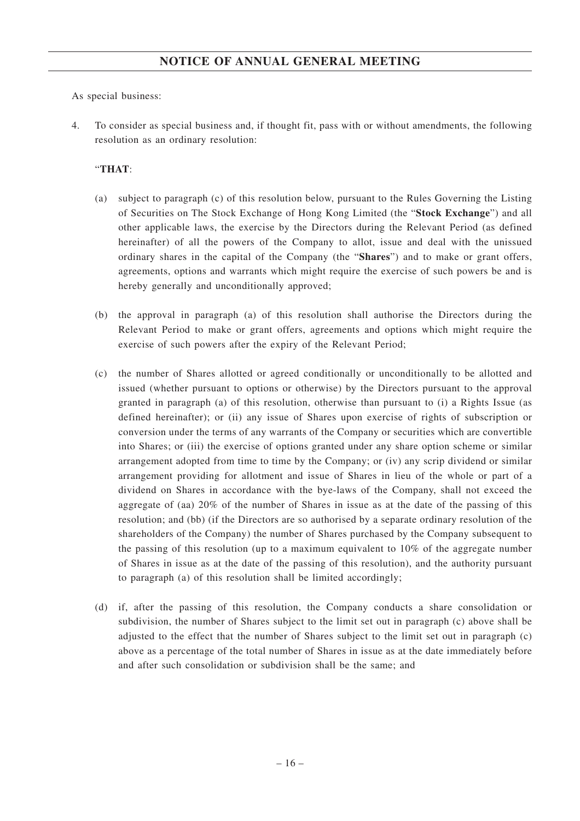As special business:

4. To consider as special business and, if thought fit, pass with or without amendments, the following resolution as an ordinary resolution:

### "**THAT**:

- (a) subject to paragraph (c) of this resolution below, pursuant to the Rules Governing the Listing of Securities on The Stock Exchange of Hong Kong Limited (the "**Stock Exchange**") and all other applicable laws, the exercise by the Directors during the Relevant Period (as defined hereinafter) of all the powers of the Company to allot, issue and deal with the unissued ordinary shares in the capital of the Company (the "**Shares**") and to make or grant offers, agreements, options and warrants which might require the exercise of such powers be and is hereby generally and unconditionally approved;
- (b) the approval in paragraph (a) of this resolution shall authorise the Directors during the Relevant Period to make or grant offers, agreements and options which might require the exercise of such powers after the expiry of the Relevant Period;
- (c) the number of Shares allotted or agreed conditionally or unconditionally to be allotted and issued (whether pursuant to options or otherwise) by the Directors pursuant to the approval granted in paragraph (a) of this resolution, otherwise than pursuant to (i) a Rights Issue (as defined hereinafter); or (ii) any issue of Shares upon exercise of rights of subscription or conversion under the terms of any warrants of the Company or securities which are convertible into Shares; or (iii) the exercise of options granted under any share option scheme or similar arrangement adopted from time to time by the Company; or (iv) any scrip dividend or similar arrangement providing for allotment and issue of Shares in lieu of the whole or part of a dividend on Shares in accordance with the bye-laws of the Company, shall not exceed the aggregate of (aa) 20% of the number of Shares in issue as at the date of the passing of this resolution; and (bb) (if the Directors are so authorised by a separate ordinary resolution of the shareholders of the Company) the number of Shares purchased by the Company subsequent to the passing of this resolution (up to a maximum equivalent to 10% of the aggregate number of Shares in issue as at the date of the passing of this resolution), and the authority pursuant to paragraph (a) of this resolution shall be limited accordingly;
- (d) if, after the passing of this resolution, the Company conducts a share consolidation or subdivision, the number of Shares subject to the limit set out in paragraph (c) above shall be adjusted to the effect that the number of Shares subject to the limit set out in paragraph (c) above as a percentage of the total number of Shares in issue as at the date immediately before and after such consolidation or subdivision shall be the same; and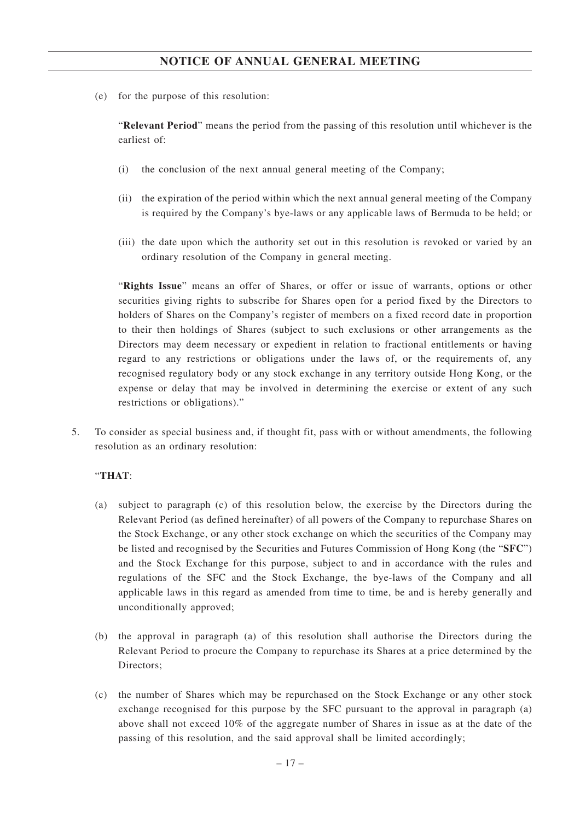(e) for the purpose of this resolution:

"**Relevant Period**" means the period from the passing of this resolution until whichever is the earliest of:

- (i) the conclusion of the next annual general meeting of the Company;
- (ii) the expiration of the period within which the next annual general meeting of the Company is required by the Company's bye-laws or any applicable laws of Bermuda to be held; or
- (iii) the date upon which the authority set out in this resolution is revoked or varied by an ordinary resolution of the Company in general meeting.

"**Rights Issue**" means an offer of Shares, or offer or issue of warrants, options or other securities giving rights to subscribe for Shares open for a period fixed by the Directors to holders of Shares on the Company's register of members on a fixed record date in proportion to their then holdings of Shares (subject to such exclusions or other arrangements as the Directors may deem necessary or expedient in relation to fractional entitlements or having regard to any restrictions or obligations under the laws of, or the requirements of, any recognised regulatory body or any stock exchange in any territory outside Hong Kong, or the expense or delay that may be involved in determining the exercise or extent of any such restrictions or obligations)."

5. To consider as special business and, if thought fit, pass with or without amendments, the following resolution as an ordinary resolution:

### "**THAT**:

- (a) subject to paragraph (c) of this resolution below, the exercise by the Directors during the Relevant Period (as defined hereinafter) of all powers of the Company to repurchase Shares on the Stock Exchange, or any other stock exchange on which the securities of the Company may be listed and recognised by the Securities and Futures Commission of Hong Kong (the "**SFC**") and the Stock Exchange for this purpose, subject to and in accordance with the rules and regulations of the SFC and the Stock Exchange, the bye-laws of the Company and all applicable laws in this regard as amended from time to time, be and is hereby generally and unconditionally approved;
- (b) the approval in paragraph (a) of this resolution shall authorise the Directors during the Relevant Period to procure the Company to repurchase its Shares at a price determined by the Directors;
- (c) the number of Shares which may be repurchased on the Stock Exchange or any other stock exchange recognised for this purpose by the SFC pursuant to the approval in paragraph (a) above shall not exceed 10% of the aggregate number of Shares in issue as at the date of the passing of this resolution, and the said approval shall be limited accordingly;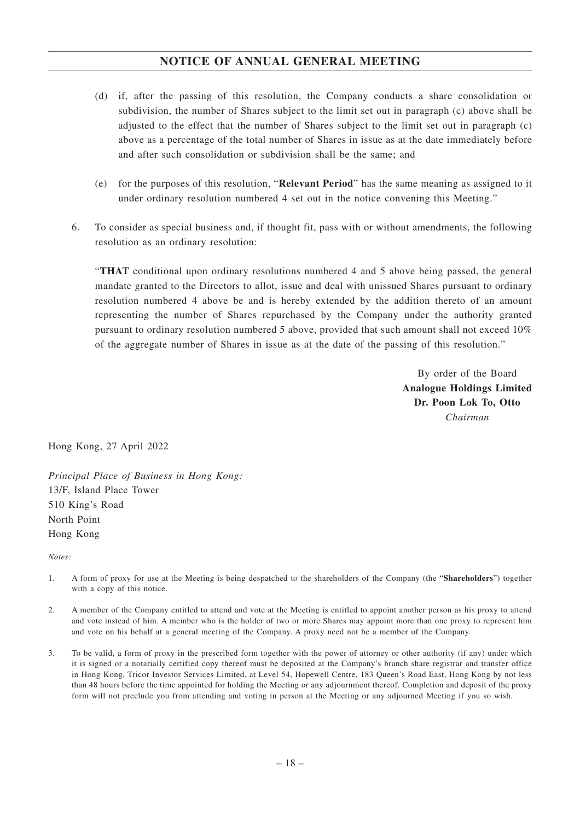- (d) if, after the passing of this resolution, the Company conducts a share consolidation or subdivision, the number of Shares subject to the limit set out in paragraph (c) above shall be adjusted to the effect that the number of Shares subject to the limit set out in paragraph (c) above as a percentage of the total number of Shares in issue as at the date immediately before and after such consolidation or subdivision shall be the same; and
- (e) for the purposes of this resolution, "**Relevant Period**" has the same meaning as assigned to it under ordinary resolution numbered 4 set out in the notice convening this Meeting."
- 6. To consider as special business and, if thought fit, pass with or without amendments, the following resolution as an ordinary resolution:

"**THAT** conditional upon ordinary resolutions numbered 4 and 5 above being passed, the general mandate granted to the Directors to allot, issue and deal with unissued Shares pursuant to ordinary resolution numbered 4 above be and is hereby extended by the addition thereto of an amount representing the number of Shares repurchased by the Company under the authority granted pursuant to ordinary resolution numbered 5 above, provided that such amount shall not exceed 10% of the aggregate number of Shares in issue as at the date of the passing of this resolution."

> By order of the Board **Analogue Holdings Limited Dr. Poon Lok To, Otto** *Chairman*

Hong Kong, 27 April 2022

*Principal Place of Business in Hong Kong:* 13/F, Island Place Tower 510 King's Road North Point Hong Kong

*Notes:*

- 1. A form of proxy for use at the Meeting is being despatched to the shareholders of the Company (the "**Shareholders**") together with a copy of this notice.
- 2. A member of the Company entitled to attend and vote at the Meeting is entitled to appoint another person as his proxy to attend and vote instead of him. A member who is the holder of two or more Shares may appoint more than one proxy to represent him and vote on his behalf at a general meeting of the Company. A proxy need not be a member of the Company.
- 3. To be valid, a form of proxy in the prescribed form together with the power of attorney or other authority (if any) under which it is signed or a notarially certified copy thereof must be deposited at the Company's branch share registrar and transfer office in Hong Kong, Tricor Investor Services Limited, at Level 54, Hopewell Centre, 183 Queen's Road East, Hong Kong by not less than 48 hours before the time appointed for holding the Meeting or any adjournment thereof. Completion and deposit of the proxy form will not preclude you from attending and voting in person at the Meeting or any adjourned Meeting if you so wish.